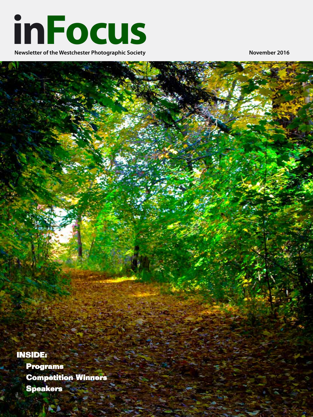

**Newsletter of the Westchester Photographic Society November 2016 November 2016** 

# **INSIDE:**

大小城市

**Programs Competition Winners Speakers**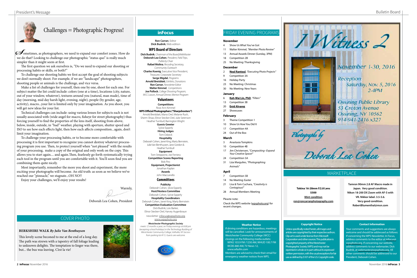# Challenges = Photographic Progress!

### **Copyright Notice**

- Unless specifically noted herein, all images and articles are copyrighted by their respective authors. Clip-art is used under license from Microsoft
	-
	-
	-
	-
	-

Corporation and other sources. This publication is copyrighted property of the Westchester Photographic Society (WPS) and may not be reprinted in whole or in part without its expressed written permission, with the usual exceptions for fair use as defined by §107 of the U.S. Copyright code.

### **Contact Information**

Your comments and suggestions are always welcome and should be addressed as follows: If concerning the WPS Newsletter, In Focus, address comments to the editor at infocus@ wpsphoto.org. If concerning our website, address comments to our webmaster, Dick Budnik, at webmaster@wpsphoto.org. All other comments should be addressed to our President, Deborah Cohen.

### **Weather Notice**

If driving conditions are hazardous, meetings will be cancelled. Look for announcements of Westchester Community College (WCC) closings on the following media outlets: WFAS 103.9 FM /1230 AM, WHUD 100.7 FM WCBS 880 AM, TV News 12, www.wfasfm.com

Members are advised to check their email for emergency weather notices from WPS.

#### **November**

- 4 Show Us What You've Got
- 11 Walter Kimmel, *"Member Photo Review"*
- 13 Annual Awards Dinner (Sunday, 3PM)
- 18 Competition 2B
- 25 No Meeting: Thanksgiving

## **December**

- 2 **Neal Rantoul**, *"Executing Photo Projects"*
- 9 Competition 3A 16 Holiday Party
- 23 No Meeting: Christmas
- 30 No Meeting: New Years

### **January**

- 6 **Kah-Wai Lin, PhD**, *"Filters"*
- 13 Competition 3B
- 20 **Enid Alvarez**
- 27 Showcases

#### **February**

- 3 Theme Competition 1
- 10 Show Us How You Did It
- 17 Competition 4A
- 24 Out of the Box

### **March**

- 3 Anastasia Tompkins
- 10 Competition 4B
- 17 Jim Christensen, *"Compositing--Expand Your Creative Space!"*
- 24 Competition 5A
- 31 Liza Margulies, *"Photographing Animals"*

#### **April**

- 7 Competition 5B
- 14 No Meeting: Easter
- 21 Lisa & Tom Cuchara, *"Creativity is Contagious!"*
- 28 Annual Members Meeting

#### Pleaste note:

Check the WPS website (wpsphoto.org) for recent changes.

**S** ometimes, as photographers, we need to expand our comfort zones. How do we do that? Looking to challenge our photographic "status quo" is really much simpler than it might seem at first.

## FRIDAY EVENING PROGRAMS

**Ron Carran**, Editor **Dick Budnik**, Web edition

#### **WPS Board of Directors**

**Dick Budnik**, *Chairman of the Board,WebMaster* **Deborah Lea Cohen**, *President, Field Trips, Publicity Chair* **Rafael Molina**, *Recoding Secretary, Community Outreach* **Charles Koenig**, Executive Vice President, Treasurer, Corporate *Secretary*  **Serge Migdal**, *Programs* **Arnold Breisblatt**, *Exhibits, Donations* **Ron Carran**, *Newsletter Editor* **Walter Kimmel**, *Competitions* **Joe Pollock***, College Shooting Program, WCC Liason, Annual Dinner, Mentor Program*

### **Volunteers**

**Competitions** Rose Ann Kimmel **WPS Official Photographers ("Sharpshooters")** Arnold Breisblatt, Mano Orel, Melanie Rush, Sherm Shiao, Elinor Stecker-Orel, Julie Serenson Heather Turnbull, Barrington Wright

**Guests Greeter** Sylvie Epperly **Hiring Judges**

Tom Osbeck **Hospitality** Deborah Cohen, Janet King, Marty Bernstein, Julie Van Benthuysen, Jane Gordon &

Heather Turnbull **Equipment**

Tom Streppone, Joe Ferriera

**Competition Scores Reporting** Bob Piro

**Equipment, Projectionist**

Jonathan Kaplan **Awards**

John Maccanello

## **Committees**

**Publicity** Deborah Cohen, Silvie Epperly **Host/Hostess Committee** Deborah Cohen, Sylvie Epperly **Hospitality Coordinators** Deborah Cohen, Janet King, Marty Bernstein **Competition Evaluation Committee** Dick Budnik, Lois Barker,

Elinor Stecker-Orel, Harvey Augenbraun newsletter: infocus@wpsphoto.org

www.wpsphoto.org *Westchester Photographic Society*

*meets 12 months a year, on Friday evenings at 8:00 pm (excepting school holidays) in the Technology Building of Westchester Community College, Valhalla, NY (across from parking lot #11). Guests are welcome.*



## **inFocus**

#### **BERKSHIRE WALK** *By Julie Van Benthuysen*

This lovely scene beconed to me at the end of a long day. The path was strewn with a tapestry of fall foliage leading to unknown delights. The temptation to linger was there, but... the bus was leaving. C'est la vie!





The first question we ask ourselves is, "Do we need to expand our shooting or processing habits or skills, or both?"

To challenge our shooting habits we first accept the goal of shooting subjects we don't normally shoot. For example, if we are "landscape" photographers, shooting people or animals is the challenge, and vice versa.

Make a list of challenges for yourself, then one by one, shoot for each one. For subject matter the list could include: colors (one at a time), locations (city, nature, out of your window, whatever), textures around you (natural, man made), time of day (morning, mid day harsh light, evening, night), people (by gender, age, activity), macro...your list is limited only by your imagination. As you shoot, you will get new ideas for your list.

Technical challenges can include: using various lenses for subjects each is not usually associated with (wide angel for macro, fisheye for street photography) thus forcing yourself to find the properties of the lens itself, shooting from above, below, inside, outside, in "bad" weather, playing with aperture, shutter speed and ISO to see how each effects light, then how each affects composition...again, don't limit your imagination.

To challenge your processing habits, or to become more comfortable with processing it is first important to recognize you cannot destroy whatever processing program you use. Then, to protect yourself when "not pleased" with the results of your processing, make a copy of the original and only work on the copy. This allows you to start again.... and again.Then, fearlessly go forth systematically trying each tool in the program until you are comfortable with it. You'll soon find you are combining them quite nicely.

Most importantly, remember the more you shoot and experiment, the more exciting your photographs will become. An old truth: as soon as we believe we've reached our "pinnacle," we stagnate...OH NO!!

Enjoy your challenges, we'll enjoy your results!

Warmly,

Deborah Lea Cohen, President

## COVER PHOTO

# MARKETPLACE

**Tokina 16-28mm f/2.8 Lens \$500 Mint condition**





**ron@roncarranphotography.com**

**Tamron 90mm 2.8 AF Macro made in Japan. Very good condition. Nikon 18-200 DX Zoom with AF-S with VR. Nikkor label. 3.5-5.6. Very good condition. RobertBlumenthal@msn.com**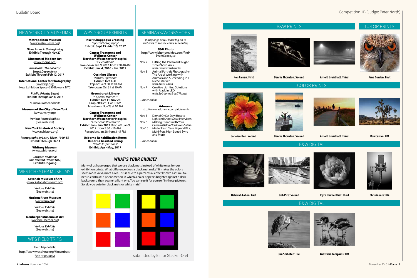NWH Chappaqua Crossing *"Sports Photography"* **Exhibit: Sept 15 - Mar 15, 2017**

Cancer Treatment and Wellness Center Northern Westchester Hospital

*"Celebrations"* Take-down: Jan. 9, 2017 from 9:30-10 AM **Exhibit: Jan. 4, 2016 - Jan. 2017**

> Ossining Library *"Natural Splendor"* **Exhibit: Oct 1-31** Drop-off: Sept 30 at 10 AM Take-down: Oct 31 at 10 AM

> Greenburgh Library *"A Special Moment"* **Exhibit: Oct 11-Nov 28** Drop-off: Oct 11 at 10 AM Take-down: Nov 28 at 10 AM

Cancer Treatment and Wellness Center Northern Westchester Hospital *"American's Parklands"* **Exhibit: Jan - Jun 2017** Drop off: Jan 9, 2017 from 9:30 - 10 AM Reception: Jan 28 from 3 - 5 PM

*Photographs by Larry Silver, 1949-55* **Exhibit: Through Dec 4** 

Osborne Rehabilitation Room Osborne Assisted Living *"Photo Inspirations"* **Exhibit: Apr - May, 2017**

## WPS GROUP EXHIBITS SEMINARS/WORKSHOPS

Metropolitan Museum *(www.metmuseum.org)*

*Diane Arbus: in the beginning* **Exhibit: Through Nov 27**

Museum of Modern Art (www.moma.org)

*Nan Goldin: The Ballad of Sexual Dependency* **Exhibit: Through Feb 12, 2017**

International Center for Photography (www.icp.org) New Exhibition Space–250 Bowery, NYC

> *Public, Private, Secret* **Exhibit: Through Jan 8, 2017**

Numerous other exhibits

Museum of the City of New York (www.mcny.org)

> *Various Photo Exhibits* (See web site)

New York Historical Society (www.nyhistory.org)

> Whitney Museum (www.whitney.org)

*Torbjørn Rødland: Blue Portrait (Nokia N82)* **Exhibit: Ongoing**

*(Samplings only. Please log on to websites to see the entire schedules)*

B&H Photo http://www.bhphotovideo.com/find/ EventSpace.jsp

- Nov 2 Hitting the Pavement: Night Time Photo Walk *with Derek Fahsbender*
- Nov 3 Animal Portrait Photography: The Art of Working with Animals and Succeeding in a Niche Market *with Alex Cearns* Nov 7 Creative Lighting Solutions
	- with Aladdin LED *with Bob Jones & Jeff Hamel*

... *more online*

## Adorama

http://www.adorama.com/alc/events

- Nov 3 Demo! OnSet Day: How to Light and Shoot Great Interviews
- Nov 6 Making Friends with Your Camera (Before You Go on Safari)
- Nov 10 Master Flash Class! Pop and Blur, Multi-Pop, High Speed Sync and More

... *more online*

## NEW YORK CITY MUSEUMS

## WPS FIELD TRIPS

Katonah Museum of Art (www.katonahmuseum.org)

> *Various Exhibits* (See web site)

Hudson River Museum (www.hrm.org)

> *Various Exhibits* (See web site)

Neuberger Museum of Art (www.neuberger.org)

> *Various Exhibits* (See web site)

## WESTCHESTER MUSEUMS

Field Trip details: http://www.wpsphoto.org/#!membersfield-trips/iubyr

## COLOR PRINTS







**Ron Carran: First Dennis Thornton: Second Jane Gordon: First Arnold Breisblatt: Third**

B&W DIGITAL



### B&W DIGITAL



## B&W PRINTS





## COLOR PRINTS









#### **Jane Gordon: Second Dennis Thornton: Second Arnold Breisblatt: Third Ron Carran: HM**



**Deborah Cohen: First Bob Piro: Second Joyce Blumenthal: Third Chris Moore: HM**





**Jun Shihoten: HM Anastasia Tompkins: HM**

Many of us have urged that we use black mats instead of white ones for our exhibition prints. What difference does a black mat make? It makes the colors seem more vivid, more alive. This is due to a perceptual effect known as "simultaneous contrast," a phenomenon in which a color appears brighter against a dark background than against a light one. You can see it for yourself in these pictures. So, do you vote for black mats or white mats?



## **What's Your Choice?**

submitted by Elinor Stecker-Orel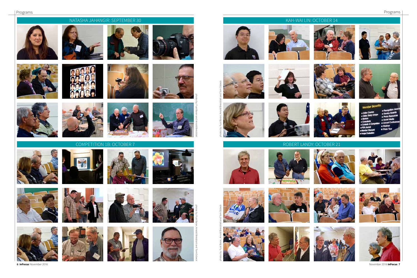**6 inFocus** November 2016 November 2016 **inFocus 7**

## Programs Programs











- 
- 
- 
- 
- 
- 
- 
- 
- 
- 
- 
- 
- 
- 
- 
- 
- 













NATASHA JAHANGIR: SEPTEMBER 30







COMPETITION 1B: OCTOBER 7

# KAH-WAI LIN: OCTOBER 14

















































photos by Fuat Baran, Arnold Breisblatt and Tom Osbeck









































photos by Fuat Baran, Arnold Breisblatt and Tom Osbeck photos by Fuat Baran and Arnold Breisblatt